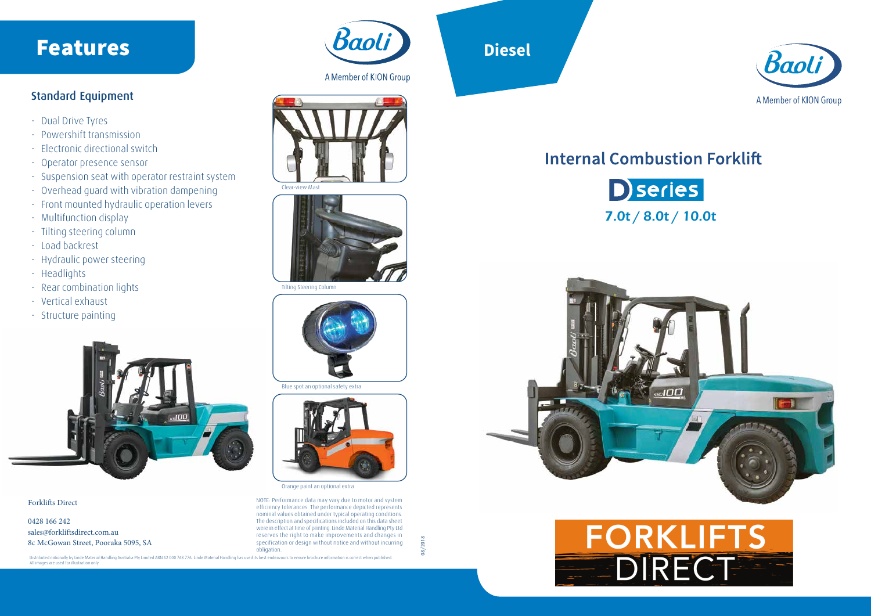

## Features

Forklifts Direct

0428 166 242 sales@forkliftsdirect.com.au 8c McGowan Street, Pooraka 5095, SA Baoli

A Member of KION Group

NOTE: Performance data may vary due to motor and system efficiency tolerances. The performance depicted represents nominal values obtained under typical operating conditions. The description and specifications included on this data sheet were in effect at time of printing. Linde Material Handling Pty Ltd reserves the right to make improvements and changes in specification or design without notice and without incurring obligation.

08/2018

# **Internal Combustion Forklift**







### Standard Equipment

- Dual Drive Tyres
- Powershift transmission
- Electronic directional switch
- Operator presence sensor
- Suspension seat with operator restraint system
- Overhead guard with vibration dampening
- Front mounted hydraulic operation levers
- Multifunction display
- Tilting steering column
- Load backrest
- Hydraulic power steering
- Headlights
- Rear combination lights
- Vertical exhaust
- Structure painting



Distributed nationally by Linde Material Handling Australia Pty Limited ABN 62 000 768 776. Linde Material Handling has used its best endeavours to ensure brochure information is correct when published. All images are used for illustration only



A Member of KION Group

Orange paint an optional extra

Blue spot an optional safety extra



Tilting Steering Column







# **Diesel**